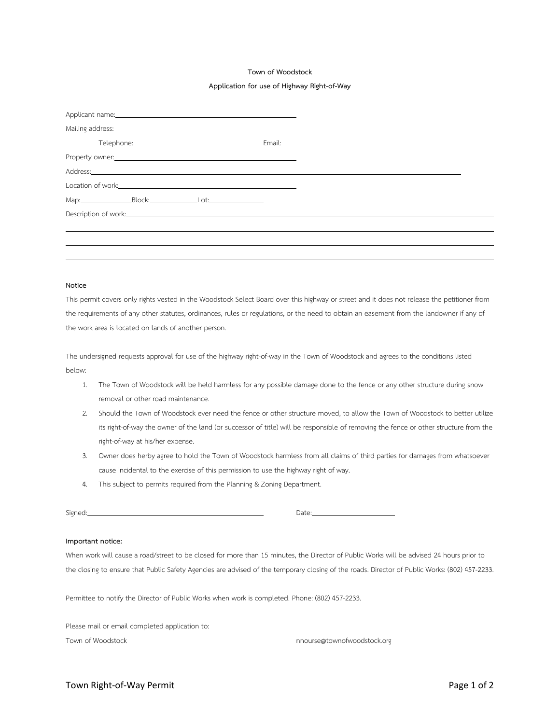#### **Town of Woodstock**

#### **Application for use of Highway Right-of-Way**

|  |  |  | Mailing address: 1988 Communication of the Mail State of the Mail State of the Mail State of the Mail State of the Mail State of the Mail State of the Mail State of the Mail State of the Mail State of the Mail State of the       |  |  |
|--|--|--|--------------------------------------------------------------------------------------------------------------------------------------------------------------------------------------------------------------------------------------|--|--|
|  |  |  |                                                                                                                                                                                                                                      |  |  |
|  |  |  |                                                                                                                                                                                                                                      |  |  |
|  |  |  | Address: Note and the contract of the contract of the contract of the contract of the contract of the contract of the contract of the contract of the contract of the contract of the contract of the contract of the contract       |  |  |
|  |  |  |                                                                                                                                                                                                                                      |  |  |
|  |  |  |                                                                                                                                                                                                                                      |  |  |
|  |  |  | Description of work: <u>contact the contract of the contract of the contract of the contract of the contract of the contract of the contract of the contract of the contract of the contract of the contract of the contract of </u> |  |  |
|  |  |  |                                                                                                                                                                                                                                      |  |  |
|  |  |  |                                                                                                                                                                                                                                      |  |  |
|  |  |  |                                                                                                                                                                                                                                      |  |  |

## **Notice**

This permit covers only rights vested in the Woodstock Select Board over this highway or street and it does not release the petitioner from the requirements of any other statutes, ordinances, rules or regulations, or the need to obtain an easement from the landowner if any of the work area is located on lands of another person.

The undersigned requests approval for use of the highway right-of-way in the Town of Woodstock and agrees to the conditions listed below:

- 1. The Town of Woodstock will be held harmless for any possible damage done to the fence or any other structure during snow removal or other road maintenance.
- 2. Should the Town of Woodstock ever need the fence or other structure moved, to allow the Town of Woodstock to better utilize its right-of-way the owner of the land (or successor of title) will be responsible of removing the fence or other structure from the right-of-way at his/her expense.
- 3. Owner does herby agree to hold the Town of Woodstock harmless from all claims of third parties for damages from whatsoever cause incidental to the exercise of this permission to use the highway right of way.
- 4. This subject to permits required from the Planning & Zoning Department.

Signed: Date:

## **Important notice:**

When work will cause a road/street to be closed for more than 15 minutes, the Director of Public Works will be advised 24 hours prior to the closing to ensure that Public Safety Agencies are advised of the temporary closing of the roads. Director of Public Works: (802) 457-2233.

Permittee to notify the Director of Public Works when work is completed. Phone: (802) 457-2233.

Please mail or email completed application to: Town of Woodstock now we have not meet the mode of the mode of the mode of the mode of the mode of the mode of the mode of the mode of the mode of the mode of the mode of the mode of the mode of the mode of the mode of the